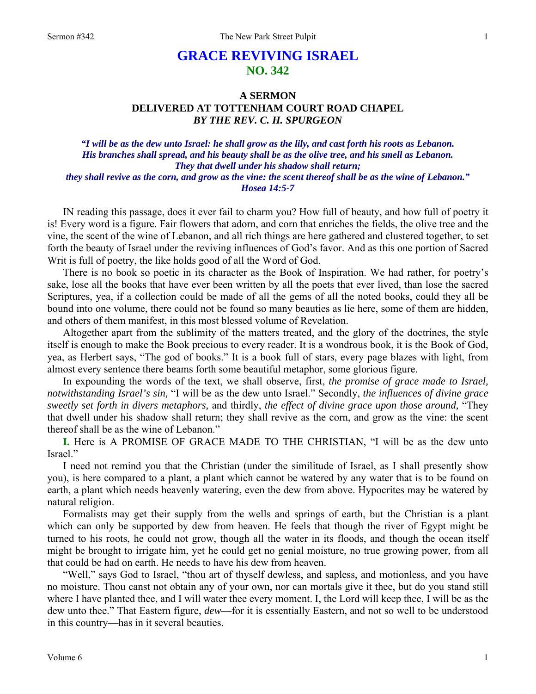# **GRACE REVIVING ISRAEL NO. 342**

# **A SERMON DELIVERED AT TOTTENHAM COURT ROAD CHAPEL**  *BY THE REV. C. H. SPURGEON*

## *"I will be as the dew unto Israel: he shall grow as the lily, and cast forth his roots as Lebanon. His branches shall spread, and his beauty shall be as the olive tree, and his smell as Lebanon. They that dwell under his shadow shall return; they shall revive as the corn, and grow as the vine: the scent thereof shall be as the wine of Lebanon." Hosea 14:5-7*

IN reading this passage, does it ever fail to charm you? How full of beauty, and how full of poetry it is! Every word is a figure. Fair flowers that adorn, and corn that enriches the fields, the olive tree and the vine, the scent of the wine of Lebanon, and all rich things are here gathered and clustered together, to set forth the beauty of Israel under the reviving influences of God's favor. And as this one portion of Sacred Writ is full of poetry, the like holds good of all the Word of God.

There is no book so poetic in its character as the Book of Inspiration. We had rather, for poetry's sake, lose all the books that have ever been written by all the poets that ever lived, than lose the sacred Scriptures, yea, if a collection could be made of all the gems of all the noted books, could they all be bound into one volume, there could not be found so many beauties as lie here, some of them are hidden, and others of them manifest, in this most blessed volume of Revelation.

Altogether apart from the sublimity of the matters treated, and the glory of the doctrines, the style itself is enough to make the Book precious to every reader. It is a wondrous book, it is the Book of God, yea, as Herbert says, "The god of books." It is a book full of stars, every page blazes with light, from almost every sentence there beams forth some beautiful metaphor, some glorious figure.

In expounding the words of the text, we shall observe, first, *the promise of grace made to Israel, notwithstanding Israel's sin,* "I will be as the dew unto Israel." Secondly, *the influences of divine grace sweetly set forth in divers metaphors,* and thirdly, *the effect of divine grace upon those around,* "They that dwell under his shadow shall return; they shall revive as the corn, and grow as the vine: the scent thereof shall be as the wine of Lebanon."

**I.** Here is A PROMISE OF GRACE MADE TO THE CHRISTIAN, "I will be as the dew unto Israel."

I need not remind you that the Christian (under the similitude of Israel, as I shall presently show you), is here compared to a plant, a plant which cannot be watered by any water that is to be found on earth, a plant which needs heavenly watering, even the dew from above. Hypocrites may be watered by natural religion.

Formalists may get their supply from the wells and springs of earth, but the Christian is a plant which can only be supported by dew from heaven. He feels that though the river of Egypt might be turned to his roots, he could not grow, though all the water in its floods, and though the ocean itself might be brought to irrigate him, yet he could get no genial moisture, no true growing power, from all that could be had on earth. He needs to have his dew from heaven.

"Well," says God to Israel, "thou art of thyself dewless, and sapless, and motionless, and you have no moisture. Thou canst not obtain any of your own, nor can mortals give it thee, but do you stand still where I have planted thee, and I will water thee every moment. I, the Lord will keep thee, I will be as the dew unto thee." That Eastern figure, *dew*—for it is essentially Eastern, and not so well to be understood in this country—has in it several beauties.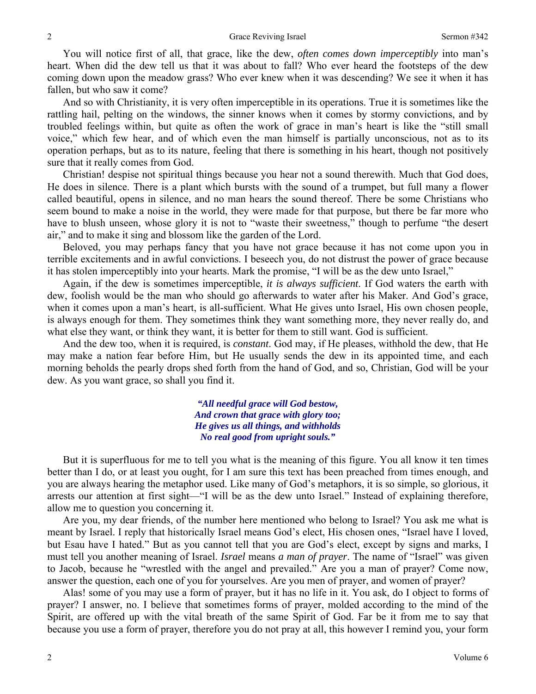You will notice first of all, that grace, like the dew, *often comes down imperceptibly* into man's heart. When did the dew tell us that it was about to fall? Who ever heard the footsteps of the dew coming down upon the meadow grass? Who ever knew when it was descending? We see it when it has fallen, but who saw it come?

And so with Christianity, it is very often imperceptible in its operations. True it is sometimes like the rattling hail, pelting on the windows, the sinner knows when it comes by stormy convictions, and by troubled feelings within, but quite as often the work of grace in man's heart is like the "still small voice," which few hear, and of which even the man himself is partially unconscious, not as to its operation perhaps, but as to its nature, feeling that there is something in his heart, though not positively sure that it really comes from God.

Christian! despise not spiritual things because you hear not a sound therewith. Much that God does, He does in silence. There is a plant which bursts with the sound of a trumpet, but full many a flower called beautiful, opens in silence, and no man hears the sound thereof. There be some Christians who seem bound to make a noise in the world, they were made for that purpose, but there be far more who have to blush unseen, whose glory it is not to "waste their sweetness," though to perfume "the desert air," and to make it sing and blossom like the garden of the Lord.

Beloved, you may perhaps fancy that you have not grace because it has not come upon you in terrible excitements and in awful convictions. I beseech you, do not distrust the power of grace because it has stolen imperceptibly into your hearts. Mark the promise, "I will be as the dew unto Israel,"

Again, if the dew is sometimes imperceptible, *it is always sufficient*. If God waters the earth with dew, foolish would be the man who should go afterwards to water after his Maker. And God's grace, when it comes upon a man's heart, is all-sufficient. What He gives unto Israel, His own chosen people, is always enough for them. They sometimes think they want something more, they never really do, and what else they want, or think they want, it is better for them to still want. God is sufficient.

And the dew too, when it is required, is *constant*. God may, if He pleases, withhold the dew, that He may make a nation fear before Him, but He usually sends the dew in its appointed time, and each morning beholds the pearly drops shed forth from the hand of God, and so, Christian, God will be your dew. As you want grace, so shall you find it.

> *"All needful grace will God bestow, And crown that grace with glory too; He gives us all things, and withholds No real good from upright souls."*

But it is superfluous for me to tell you what is the meaning of this figure. You all know it ten times better than I do, or at least you ought, for I am sure this text has been preached from times enough, and you are always hearing the metaphor used. Like many of God's metaphors, it is so simple, so glorious, it arrests our attention at first sight—"I will be as the dew unto Israel." Instead of explaining therefore, allow me to question you concerning it.

Are you, my dear friends, of the number here mentioned who belong to Israel? You ask me what is meant by Israel. I reply that historically Israel means God's elect, His chosen ones, "Israel have I loved, but Esau have I hated." But as you cannot tell that you are God's elect, except by signs and marks, I must tell you another meaning of Israel. *Israel* means *a man of prayer*. The name of "Israel" was given to Jacob, because he "wrestled with the angel and prevailed." Are you a man of prayer? Come now, answer the question, each one of you for yourselves. Are you men of prayer, and women of prayer?

Alas! some of you may use a form of prayer, but it has no life in it. You ask, do I object to forms of prayer? I answer, no. I believe that sometimes forms of prayer, molded according to the mind of the Spirit, are offered up with the vital breath of the same Spirit of God. Far be it from me to say that because you use a form of prayer, therefore you do not pray at all, this however I remind you, your form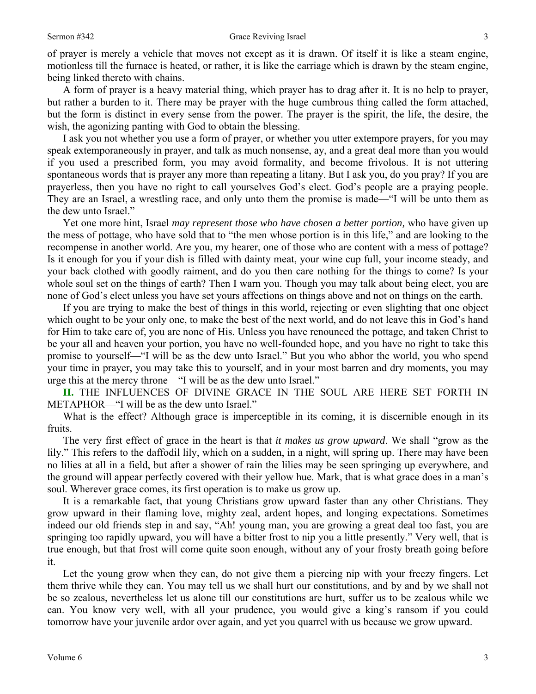of prayer is merely a vehicle that moves not except as it is drawn. Of itself it is like a steam engine, motionless till the furnace is heated, or rather, it is like the carriage which is drawn by the steam engine, being linked thereto with chains.

A form of prayer is a heavy material thing, which prayer has to drag after it. It is no help to prayer, but rather a burden to it. There may be prayer with the huge cumbrous thing called the form attached, but the form is distinct in every sense from the power. The prayer is the spirit, the life, the desire, the wish, the agonizing panting with God to obtain the blessing.

I ask you not whether you use a form of prayer, or whether you utter extempore prayers, for you may speak extemporaneously in prayer, and talk as much nonsense, ay, and a great deal more than you would if you used a prescribed form, you may avoid formality, and become frivolous. It is not uttering spontaneous words that is prayer any more than repeating a litany. But I ask you, do you pray? If you are prayerless, then you have no right to call yourselves God's elect. God's people are a praying people. They are an Israel, a wrestling race, and only unto them the promise is made—"I will be unto them as the dew unto Israel."

Yet one more hint, Israel *may represent those who have chosen a better portion,* who have given up the mess of pottage, who have sold that to "the men whose portion is in this life," and are looking to the recompense in another world. Are you, my hearer, one of those who are content with a mess of pottage? Is it enough for you if your dish is filled with dainty meat, your wine cup full, your income steady, and your back clothed with goodly raiment, and do you then care nothing for the things to come? Is your whole soul set on the things of earth? Then I warn you. Though you may talk about being elect, you are none of God's elect unless you have set yours affections on things above and not on things on the earth.

If you are trying to make the best of things in this world, rejecting or even slighting that one object which ought to be your only one, to make the best of the next world, and do not leave this in God's hand for Him to take care of, you are none of His. Unless you have renounced the pottage, and taken Christ to be your all and heaven your portion, you have no well-founded hope, and you have no right to take this promise to yourself—"I will be as the dew unto Israel." But you who abhor the world, you who spend your time in prayer, you may take this to yourself, and in your most barren and dry moments, you may urge this at the mercy throne—"I will be as the dew unto Israel."

**II.** THE INFLUENCES OF DIVINE GRACE IN THE SOUL ARE HERE SET FORTH IN METAPHOR—"I will be as the dew unto Israel."

What is the effect? Although grace is imperceptible in its coming, it is discernible enough in its fruits.

The very first effect of grace in the heart is that *it makes us grow upward*. We shall "grow as the lily." This refers to the daffodil lily, which on a sudden, in a night, will spring up. There may have been no lilies at all in a field, but after a shower of rain the lilies may be seen springing up everywhere, and the ground will appear perfectly covered with their yellow hue. Mark, that is what grace does in a man's soul. Wherever grace comes, its first operation is to make us grow up.

It is a remarkable fact, that young Christians grow upward faster than any other Christians. They grow upward in their flaming love, mighty zeal, ardent hopes, and longing expectations. Sometimes indeed our old friends step in and say, "Ah! young man, you are growing a great deal too fast, you are springing too rapidly upward, you will have a bitter frost to nip you a little presently." Very well, that is true enough, but that frost will come quite soon enough, without any of your frosty breath going before it.

Let the young grow when they can, do not give them a piercing nip with your freezy fingers. Let them thrive while they can. You may tell us we shall hurt our constitutions, and by and by we shall not be so zealous, nevertheless let us alone till our constitutions are hurt, suffer us to be zealous while we can. You know very well, with all your prudence, you would give a king's ransom if you could tomorrow have your juvenile ardor over again, and yet you quarrel with us because we grow upward.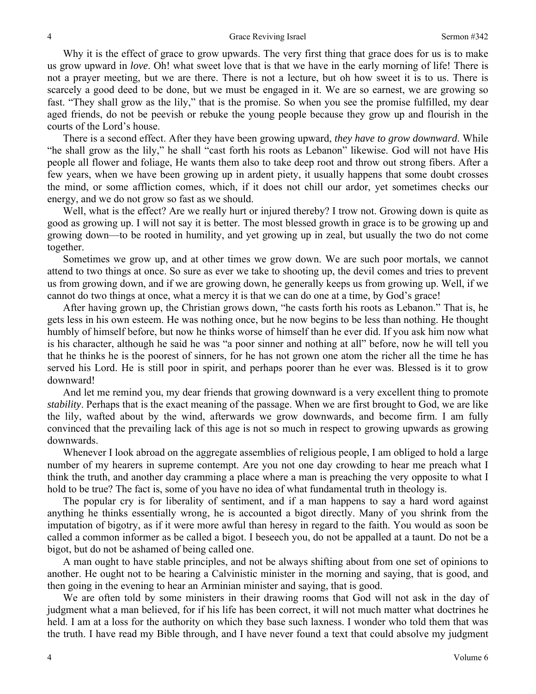Why it is the effect of grace to grow upwards. The very first thing that grace does for us is to make us grow upward in *love*. Oh! what sweet love that is that we have in the early morning of life! There is not a prayer meeting, but we are there. There is not a lecture, but oh how sweet it is to us. There is scarcely a good deed to be done, but we must be engaged in it. We are so earnest, we are growing so fast. "They shall grow as the lily," that is the promise. So when you see the promise fulfilled, my dear aged friends, do not be peevish or rebuke the young people because they grow up and flourish in the courts of the Lord's house.

There is a second effect. After they have been growing upward, *they have to grow downward*. While "he shall grow as the lily," he shall "cast forth his roots as Lebanon" likewise. God will not have His people all flower and foliage, He wants them also to take deep root and throw out strong fibers. After a few years, when we have been growing up in ardent piety, it usually happens that some doubt crosses the mind, or some affliction comes, which, if it does not chill our ardor, yet sometimes checks our energy, and we do not grow so fast as we should.

Well, what is the effect? Are we really hurt or injured thereby? I trow not. Growing down is quite as good as growing up. I will not say it is better. The most blessed growth in grace is to be growing up and growing down—to be rooted in humility, and yet growing up in zeal, but usually the two do not come together.

Sometimes we grow up, and at other times we grow down. We are such poor mortals, we cannot attend to two things at once. So sure as ever we take to shooting up, the devil comes and tries to prevent us from growing down, and if we are growing down, he generally keeps us from growing up. Well, if we cannot do two things at once, what a mercy it is that we can do one at a time, by God's grace!

After having grown up, the Christian grows down, "he casts forth his roots as Lebanon." That is, he gets less in his own esteem. He was nothing once, but he now begins to be less than nothing. He thought humbly of himself before, but now he thinks worse of himself than he ever did. If you ask him now what is his character, although he said he was "a poor sinner and nothing at all" before, now he will tell you that he thinks he is the poorest of sinners, for he has not grown one atom the richer all the time he has served his Lord. He is still poor in spirit, and perhaps poorer than he ever was. Blessed is it to grow downward!

And let me remind you, my dear friends that growing downward is a very excellent thing to promote *stability*. Perhaps that is the exact meaning of the passage. When we are first brought to God, we are like the lily, wafted about by the wind, afterwards we grow downwards, and become firm. I am fully convinced that the prevailing lack of this age is not so much in respect to growing upwards as growing downwards.

Whenever I look abroad on the aggregate assemblies of religious people, I am obliged to hold a large number of my hearers in supreme contempt. Are you not one day crowding to hear me preach what I think the truth, and another day cramming a place where a man is preaching the very opposite to what I hold to be true? The fact is, some of you have no idea of what fundamental truth in theology is.

The popular cry is for liberality of sentiment, and if a man happens to say a hard word against anything he thinks essentially wrong, he is accounted a bigot directly. Many of you shrink from the imputation of bigotry, as if it were more awful than heresy in regard to the faith. You would as soon be called a common informer as be called a bigot. I beseech you, do not be appalled at a taunt. Do not be a bigot, but do not be ashamed of being called one.

A man ought to have stable principles, and not be always shifting about from one set of opinions to another. He ought not to be hearing a Calvinistic minister in the morning and saying, that is good, and then going in the evening to hear an Arminian minister and saying, that is good.

We are often told by some ministers in their drawing rooms that God will not ask in the day of judgment what a man believed, for if his life has been correct, it will not much matter what doctrines he held. I am at a loss for the authority on which they base such laxness. I wonder who told them that was the truth. I have read my Bible through, and I have never found a text that could absolve my judgment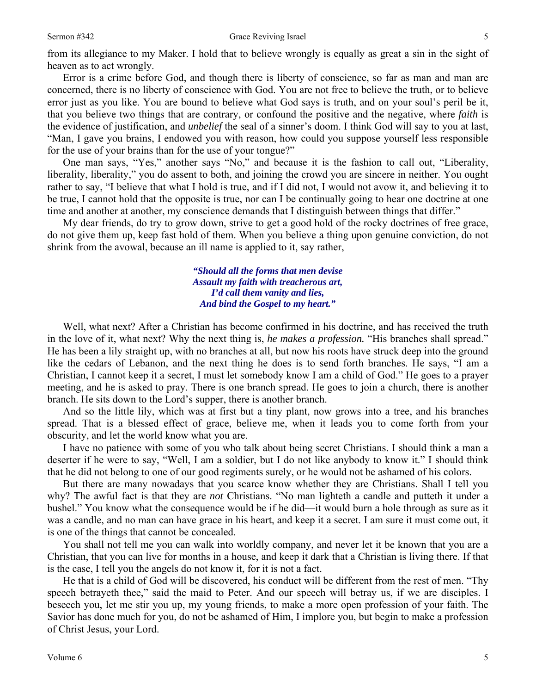from its allegiance to my Maker. I hold that to believe wrongly is equally as great a sin in the sight of heaven as to act wrongly.

Error is a crime before God, and though there is liberty of conscience, so far as man and man are concerned, there is no liberty of conscience with God. You are not free to believe the truth, or to believe error just as you like. You are bound to believe what God says is truth, and on your soul's peril be it, that you believe two things that are contrary, or confound the positive and the negative, where *faith* is the evidence of justification, and *unbelief* the seal of a sinner's doom. I think God will say to you at last, "Man, I gave you brains, I endowed you with reason, how could you suppose yourself less responsible for the use of your brains than for the use of your tongue?"

One man says, "Yes," another says "No," and because it is the fashion to call out, "Liberality, liberality, liberality," you do assent to both, and joining the crowd you are sincere in neither. You ought rather to say, "I believe that what I hold is true, and if I did not, I would not avow it, and believing it to be true, I cannot hold that the opposite is true, nor can I be continually going to hear one doctrine at one time and another at another, my conscience demands that I distinguish between things that differ."

My dear friends, do try to grow down, strive to get a good hold of the rocky doctrines of free grace, do not give them up, keep fast hold of them. When you believe a thing upon genuine conviction, do not shrink from the avowal, because an ill name is applied to it, say rather,

> *"Should all the forms that men devise Assault my faith with treacherous art, I'd call them vanity and lies, And bind the Gospel to my heart."*

Well, what next? After a Christian has become confirmed in his doctrine, and has received the truth in the love of it, what next? Why the next thing is, *he makes a profession.* "His branches shall spread." He has been a lily straight up, with no branches at all, but now his roots have struck deep into the ground like the cedars of Lebanon, and the next thing he does is to send forth branches. He says, "I am a Christian, I cannot keep it a secret, I must let somebody know I am a child of God." He goes to a prayer meeting, and he is asked to pray. There is one branch spread. He goes to join a church, there is another branch. He sits down to the Lord's supper, there is another branch.

And so the little lily, which was at first but a tiny plant, now grows into a tree, and his branches spread. That is a blessed effect of grace, believe me, when it leads you to come forth from your obscurity, and let the world know what you are.

I have no patience with some of you who talk about being secret Christians. I should think a man a deserter if he were to say, "Well, I am a soldier, but I do not like anybody to know it." I should think that he did not belong to one of our good regiments surely, or he would not be ashamed of his colors.

But there are many nowadays that you scarce know whether they are Christians. Shall I tell you why? The awful fact is that they are *not* Christians. "No man lighteth a candle and putteth it under a bushel." You know what the consequence would be if he did—it would burn a hole through as sure as it was a candle, and no man can have grace in his heart, and keep it a secret. I am sure it must come out, it is one of the things that cannot be concealed.

You shall not tell me you can walk into worldly company, and never let it be known that you are a Christian, that you can live for months in a house, and keep it dark that a Christian is living there. If that is the case, I tell you the angels do not know it, for it is not a fact.

He that is a child of God will be discovered, his conduct will be different from the rest of men. "Thy speech betrayeth thee," said the maid to Peter. And our speech will betray us, if we are disciples. I beseech you, let me stir you up, my young friends, to make a more open profession of your faith. The Savior has done much for you, do not be ashamed of Him, I implore you, but begin to make a profession of Christ Jesus, your Lord.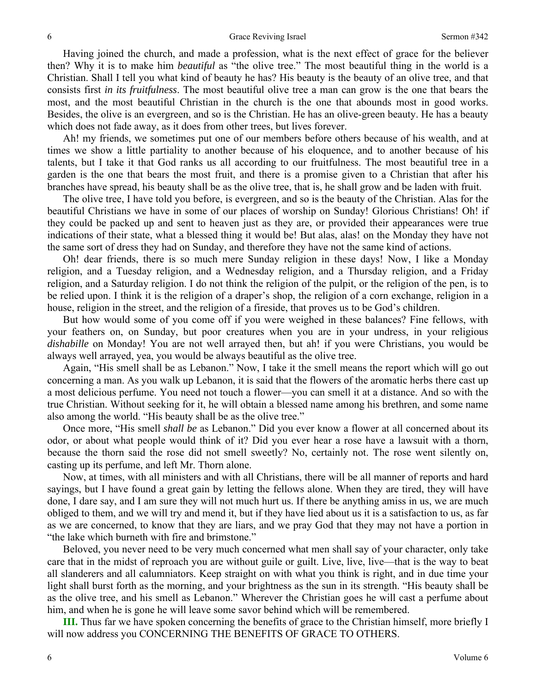Having joined the church, and made a profession, what is the next effect of grace for the believer then? Why it is to make him *beautiful* as "the olive tree." The most beautiful thing in the world is a Christian. Shall I tell you what kind of beauty he has? His beauty is the beauty of an olive tree, and that consists first *in its fruitfulness*. The most beautiful olive tree a man can grow is the one that bears the most, and the most beautiful Christian in the church is the one that abounds most in good works. Besides, the olive is an evergreen, and so is the Christian. He has an olive-green beauty. He has a beauty which does not fade away, as it does from other trees, but lives forever.

Ah! my friends, we sometimes put one of our members before others because of his wealth, and at times we show a little partiality to another because of his eloquence, and to another because of his talents, but I take it that God ranks us all according to our fruitfulness. The most beautiful tree in a garden is the one that bears the most fruit, and there is a promise given to a Christian that after his branches have spread, his beauty shall be as the olive tree, that is, he shall grow and be laden with fruit.

The olive tree, I have told you before, is evergreen, and so is the beauty of the Christian. Alas for the beautiful Christians we have in some of our places of worship on Sunday! Glorious Christians! Oh! if they could be packed up and sent to heaven just as they are, or provided their appearances were true indications of their state, what a blessed thing it would be! But alas, alas! on the Monday they have not the same sort of dress they had on Sunday, and therefore they have not the same kind of actions.

Oh! dear friends, there is so much mere Sunday religion in these days! Now, I like a Monday religion, and a Tuesday religion, and a Wednesday religion, and a Thursday religion, and a Friday religion, and a Saturday religion. I do not think the religion of the pulpit, or the religion of the pen, is to be relied upon. I think it is the religion of a draper's shop, the religion of a corn exchange, religion in a house, religion in the street, and the religion of a fireside, that proves us to be God's children.

But how would some of you come off if you were weighed in these balances? Fine fellows, with your feathers on, on Sunday, but poor creatures when you are in your undress, in your religious *dishabille* on Monday! You are not well arrayed then, but ah! if you were Christians, you would be always well arrayed, yea, you would be always beautiful as the olive tree.

Again, "His smell shall be as Lebanon." Now, I take it the smell means the report which will go out concerning a man. As you walk up Lebanon, it is said that the flowers of the aromatic herbs there cast up a most delicious perfume. You need not touch a flower—you can smell it at a distance. And so with the true Christian. Without seeking for it, he will obtain a blessed name among his brethren, and some name also among the world. "His beauty shall be as the olive tree."

Once more, "His smell *shall be* as Lebanon." Did you ever know a flower at all concerned about its odor, or about what people would think of it? Did you ever hear a rose have a lawsuit with a thorn, because the thorn said the rose did not smell sweetly? No, certainly not. The rose went silently on, casting up its perfume, and left Mr. Thorn alone.

Now, at times, with all ministers and with all Christians, there will be all manner of reports and hard sayings, but I have found a great gain by letting the fellows alone. When they are tired, they will have done, I dare say, and I am sure they will not much hurt us. If there be anything amiss in us, we are much obliged to them, and we will try and mend it, but if they have lied about us it is a satisfaction to us, as far as we are concerned, to know that they are liars, and we pray God that they may not have a portion in "the lake which burneth with fire and brimstone."

Beloved, you never need to be very much concerned what men shall say of your character, only take care that in the midst of reproach you are without guile or guilt. Live, live, live—that is the way to beat all slanderers and all calumniators. Keep straight on with what you think is right, and in due time your light shall burst forth as the morning, and your brightness as the sun in its strength. "His beauty shall be as the olive tree, and his smell as Lebanon." Wherever the Christian goes he will cast a perfume about him, and when he is gone he will leave some savor behind which will be remembered.

**III.** Thus far we have spoken concerning the benefits of grace to the Christian himself, more briefly I will now address you CONCERNING THE BENEFITS OF GRACE TO OTHERS.

6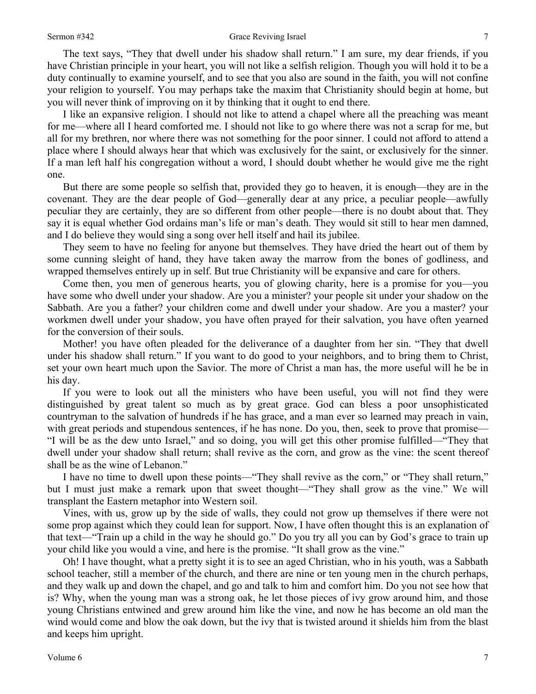#### Sermon #342 Grace Reviving Israel

The text says, "They that dwell under his shadow shall return." I am sure, my dear friends, if you have Christian principle in your heart, you will not like a selfish religion. Though you will hold it to be a duty continually to examine yourself, and to see that you also are sound in the faith, you will not confine your religion to yourself. You may perhaps take the maxim that Christianity should begin at home, but you will never think of improving on it by thinking that it ought to end there.

I like an expansive religion. I should not like to attend a chapel where all the preaching was meant for me—where all I heard comforted me. I should not like to go where there was not a scrap for me, but all for my brethren, nor where there was not something for the poor sinner. I could not afford to attend a place where I should always hear that which was exclusively for the saint, or exclusively for the sinner. If a man left half his congregation without a word, I should doubt whether he would give me the right one.

But there are some people so selfish that, provided they go to heaven, it is enough—they are in the covenant. They are the dear people of God—generally dear at any price, a peculiar people—awfully peculiar they are certainly, they are so different from other people—there is no doubt about that. They say it is equal whether God ordains man's life or man's death. They would sit still to hear men damned, and I do believe they would sing a song over hell itself and hail its jubilee.

They seem to have no feeling for anyone but themselves. They have dried the heart out of them by some cunning sleight of hand, they have taken away the marrow from the bones of godliness, and wrapped themselves entirely up in self. But true Christianity will be expansive and care for others.

Come then, you men of generous hearts, you of glowing charity, here is a promise for you—you have some who dwell under your shadow. Are you a minister? your people sit under your shadow on the Sabbath. Are you a father? your children come and dwell under your shadow. Are you a master? your workmen dwell under your shadow, you have often prayed for their salvation, you have often yearned for the conversion of their souls.

Mother! you have often pleaded for the deliverance of a daughter from her sin. "They that dwell under his shadow shall return." If you want to do good to your neighbors, and to bring them to Christ, set your own heart much upon the Savior. The more of Christ a man has, the more useful will he be in his day.

If you were to look out all the ministers who have been useful, you will not find they were distinguished by great talent so much as by great grace. God can bless a poor unsophisticated countryman to the salvation of hundreds if he has grace, and a man ever so learned may preach in vain, with great periods and stupendous sentences, if he has none. Do you, then, seek to prove that promise— "I will be as the dew unto Israel," and so doing, you will get this other promise fulfilled—"They that dwell under your shadow shall return; shall revive as the corn, and grow as the vine: the scent thereof shall be as the wine of Lebanon."

I have no time to dwell upon these points—"They shall revive as the corn," or "They shall return," but I must just make a remark upon that sweet thought—"They shall grow as the vine." We will transplant the Eastern metaphor into Western soil.

Vines, with us, grow up by the side of walls, they could not grow up themselves if there were not some prop against which they could lean for support. Now, I have often thought this is an explanation of that text—"Train up a child in the way he should go." Do you try all you can by God's grace to train up your child like you would a vine, and here is the promise. "It shall grow as the vine."

Oh! I have thought, what a pretty sight it is to see an aged Christian, who in his youth, was a Sabbath school teacher, still a member of the church, and there are nine or ten young men in the church perhaps, and they walk up and down the chapel, and go and talk to him and comfort him. Do you not see how that is? Why, when the young man was a strong oak, he let those pieces of ivy grow around him, and those young Christians entwined and grew around him like the vine, and now he has become an old man the wind would come and blow the oak down, but the ivy that is twisted around it shields him from the blast and keeps him upright.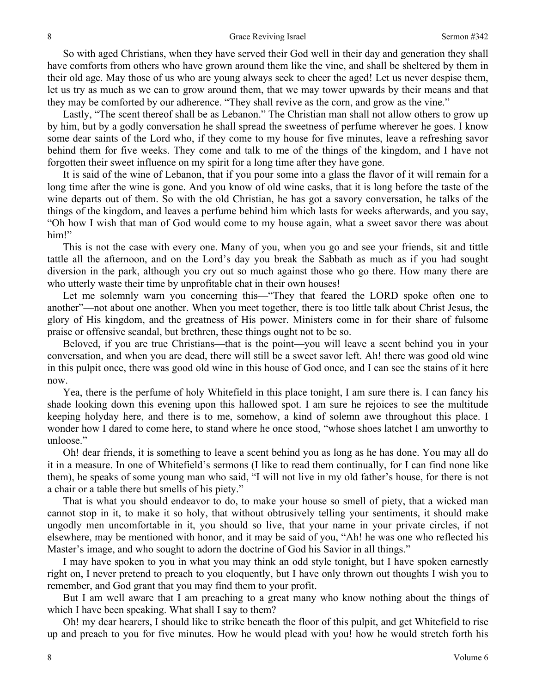So with aged Christians, when they have served their God well in their day and generation they shall have comforts from others who have grown around them like the vine, and shall be sheltered by them in their old age. May those of us who are young always seek to cheer the aged! Let us never despise them, let us try as much as we can to grow around them, that we may tower upwards by their means and that they may be comforted by our adherence. "They shall revive as the corn, and grow as the vine."

Lastly, "The scent thereof shall be as Lebanon." The Christian man shall not allow others to grow up by him, but by a godly conversation he shall spread the sweetness of perfume wherever he goes. I know some dear saints of the Lord who, if they come to my house for five minutes, leave a refreshing savor behind them for five weeks. They come and talk to me of the things of the kingdom, and I have not forgotten their sweet influence on my spirit for a long time after they have gone.

It is said of the wine of Lebanon, that if you pour some into a glass the flavor of it will remain for a long time after the wine is gone. And you know of old wine casks, that it is long before the taste of the wine departs out of them. So with the old Christian, he has got a savory conversation, he talks of the things of the kingdom, and leaves a perfume behind him which lasts for weeks afterwards, and you say, "Oh how I wish that man of God would come to my house again, what a sweet savor there was about him!"

This is not the case with every one. Many of you, when you go and see your friends, sit and tittle tattle all the afternoon, and on the Lord's day you break the Sabbath as much as if you had sought diversion in the park, although you cry out so much against those who go there. How many there are who utterly waste their time by unprofitable chat in their own houses!

Let me solemnly warn you concerning this—"They that feared the LORD spoke often one to another"—not about one another. When you meet together, there is too little talk about Christ Jesus, the glory of His kingdom, and the greatness of His power. Ministers come in for their share of fulsome praise or offensive scandal, but brethren, these things ought not to be so.

Beloved, if you are true Christians—that is the point—you will leave a scent behind you in your conversation, and when you are dead, there will still be a sweet savor left. Ah! there was good old wine in this pulpit once, there was good old wine in this house of God once, and I can see the stains of it here now.

Yea, there is the perfume of holy Whitefield in this place tonight, I am sure there is. I can fancy his shade looking down this evening upon this hallowed spot. I am sure he rejoices to see the multitude keeping holyday here, and there is to me, somehow, a kind of solemn awe throughout this place. I wonder how I dared to come here, to stand where he once stood, "whose shoes latchet I am unworthy to unloose."

Oh! dear friends, it is something to leave a scent behind you as long as he has done. You may all do it in a measure. In one of Whitefield's sermons (I like to read them continually, for I can find none like them), he speaks of some young man who said, "I will not live in my old father's house, for there is not a chair or a table there but smells of his piety."

That is what you should endeavor to do, to make your house so smell of piety, that a wicked man cannot stop in it, to make it so holy, that without obtrusively telling your sentiments, it should make ungodly men uncomfortable in it, you should so live, that your name in your private circles, if not elsewhere, may be mentioned with honor, and it may be said of you, "Ah! he was one who reflected his Master's image, and who sought to adorn the doctrine of God his Savior in all things."

I may have spoken to you in what you may think an odd style tonight, but I have spoken earnestly right on, I never pretend to preach to you eloquently, but I have only thrown out thoughts I wish you to remember, and God grant that you may find them to your profit.

But I am well aware that I am preaching to a great many who know nothing about the things of which I have been speaking. What shall I say to them?

Oh! my dear hearers, I should like to strike beneath the floor of this pulpit, and get Whitefield to rise up and preach to you for five minutes. How he would plead with you! how he would stretch forth his

8